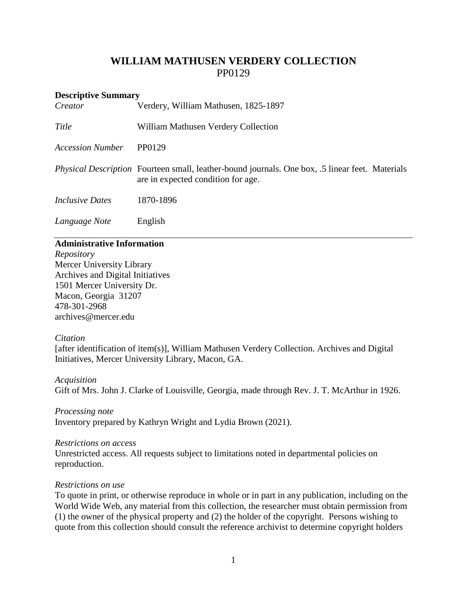# **WILLIAM MATHUSEN VERDERY COLLECTION** PP0129

#### **Descriptive Summary**

| Creator                 | Verdery, William Mathusen, 1825-1897                                                                                                         |
|-------------------------|----------------------------------------------------------------------------------------------------------------------------------------------|
| Title                   | William Mathusen Verdery Collection                                                                                                          |
| <b>Accession Number</b> | PP0129                                                                                                                                       |
|                         | <i>Physical Description</i> Fourteen small, leather-bound journals. One box, .5 linear feet. Materials<br>are in expected condition for age. |
| <i>Inclusive Dates</i>  | 1870-1896                                                                                                                                    |
| Language Note           | English                                                                                                                                      |

#### **Administrative Information**

*Repository* Mercer University Library Archives and Digital Initiatives 1501 Mercer University Dr. Macon, Georgia 31207 478-301-2968 [archives@mercer.edu](mailto:archives@mercer.edu)

#### *Citation*

[after identification of item(s)], William Mathusen Verdery Collection. Archives and Digital Initiatives, Mercer University Library, Macon, GA.

#### *Acquisition*

Gift of Mrs. John J. Clarke of Louisville, Georgia, made through Rev. J. T. McArthur in 1926.

#### *Processing note*

Inventory prepared by Kathryn Wright and Lydia Brown (2021).

#### *Restrictions on access*

Unrestricted access. All requests subject to limitations noted in departmental policies on reproduction.

#### *Restrictions on use*

To quote in print, or otherwise reproduce in whole or in part in any publication, including on the World Wide Web, any material from this collection, the researcher must obtain permission from (1) the owner of the physical property and (2) the holder of the copyright. Persons wishing to quote from this collection should consult the reference archivist to determine copyright holders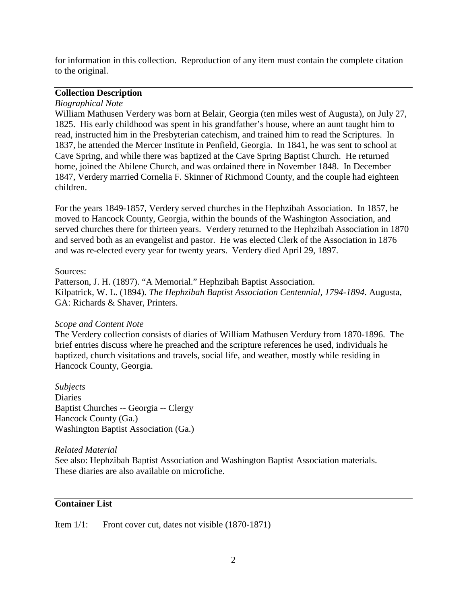for information in this collection. Reproduction of any item must contain the complete citation to the original.

## **Collection Description**

## *Biographical Note*

William Mathusen Verdery was born at Belair, Georgia (ten miles west of Augusta), on July 27, 1825. His early childhood was spent in his grandfather's house, where an aunt taught him to read, instructed him in the Presbyterian catechism, and trained him to read the Scriptures. In 1837, he attended the Mercer Institute in Penfield, Georgia. In 1841, he was sent to school at Cave Spring, and while there was baptized at the Cave Spring Baptist Church. He returned home, joined the Abilene Church, and was ordained there in November 1848. In December 1847, Verdery married Cornelia F. Skinner of Richmond County, and the couple had eighteen children.

For the years 1849-1857, Verdery served churches in the Hephzibah Association. In 1857, he moved to Hancock County, Georgia, within the bounds of the Washington Association, and served churches there for thirteen years. Verdery returned to the Hephzibah Association in 1870 and served both as an evangelist and pastor. He was elected Clerk of the Association in 1876 and was re-elected every year for twenty years. Verdery died April 29, 1897.

## Sources:

Patterson, J. H. (1897). "A Memorial." Hephzibah Baptist Association. Kilpatrick, W. L. (1894). *The Hephzibah Baptist Association Centennial, 1794-1894*. Augusta, GA: Richards & Shaver, Printers.

## *Scope and Content Note*

The Verdery collection consists of diaries of William Mathusen Verdury from 1870-1896. The brief entries discuss where he preached and the scripture references he used, individuals he baptized, church visitations and travels, social life, and weather, mostly while residing in Hancock County, Georgia.

*Subjects* Diaries Baptist Churches -- Georgia -- Clergy Hancock County (Ga.) Washington Baptist Association (Ga.)

## *Related Material*

See also: Hephzibah Baptist Association and Washington Baptist Association materials. These diaries are also available on microfiche.

## **Container List**

Item 1/1: Front cover cut, dates not visible (1870-1871)